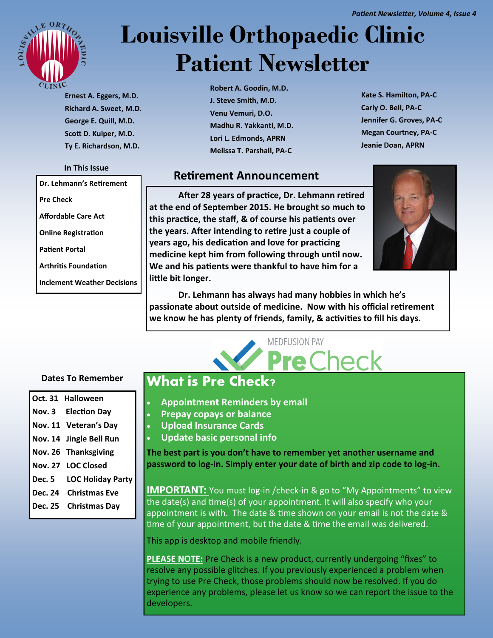

# **Louisville Orthopaedic Clinic Patient Newsletter**

**Ernest A. Eggers, M.D. Richard A. Sweet, M.D. George E. Quill, M.D. Scott D. Kuiper, M.D. Ty E. Richardson, M.D.**

#### **In This Issue**

**Dr. Lehmann's Retirement**

**Pre Check**

**Affordable Care Act**

**Online Registration**

**Patient Portal**

**Arthritis Foundation**

**Inclement Weather Decisions**

**Robert A. Goodin, M.D. J. Steve Smith, M.D. Venu Vemuri, D.O. Madhu R. Yakkanti, M.D. Lori L. Edmonds, APRN Melissa T. Parshall, PA-C**

**Kate S. Hamilton, PA-C Carly O. Bell, PA-C Jennifer G. Groves, PA-C Megan Courtney, PA-C Jeanie Doan, APRN**

## **Retirement Announcement**

**After 28 years of practice, Dr. Lehmann retired at the end of September 2015. He brought so much to this practice, the staff, & of course his patients over the years. After intending to retire just a couple of years ago, his dedication and love for practicing medicine kept him from following through until now. We and his patients were thankful to have him for a little bit longer.** 



**Dr. Lehmann has always had many hobbies in which he's passionate about outside of medicine. Now with his official retirement we know he has plenty of friends, family, & activities to fill his days.** 

**MEDFUSION PAY** 

re Check

### **Dates To Remember**

|        | Oct. 31 Halloween        |
|--------|--------------------------|
|        | Nov. 3 Election Day      |
|        | Nov. 11 Veteran's Day    |
|        | Nov. 14 Jingle Bell Run  |
|        | Nov. 26 Thanksgiving     |
|        | Nov. 27 LOC Closed       |
| Dec. 5 | <b>LOC Holiday Party</b> |
|        | Dec. 24 Christmas Eve    |
|        | Dec. 25 Christmas Day    |
|        |                          |

## **What is Pre Check?**

- **Appointment Reminders by email**
- **Prepay copays or balance**
- **Upload Insurance Cards**
- **Update basic personal info**

**The best part is you don't have to remember yet another username and password to log-in. Simply enter your date of birth and zip code to log-in.** 

**IMPORTANT:** You must log-in /check-in & go to "My Appointments" to view the date(s) and time(s) of your appointment. It will also specify who your appointment is with. The date & time shown on your email is not the date & time of your appointment, but the date & time the email was delivered.

This app is desktop and mobile friendly.

**PLEASE NOTE:** Pre Check is a new product, currently undergoing "fixes" to resolve any possible glitches. If you previously experienced a problem when trying to use Pre Check, those problems should now be resolved. If you do experience any problems, please let us know so we can report the issue to the developers.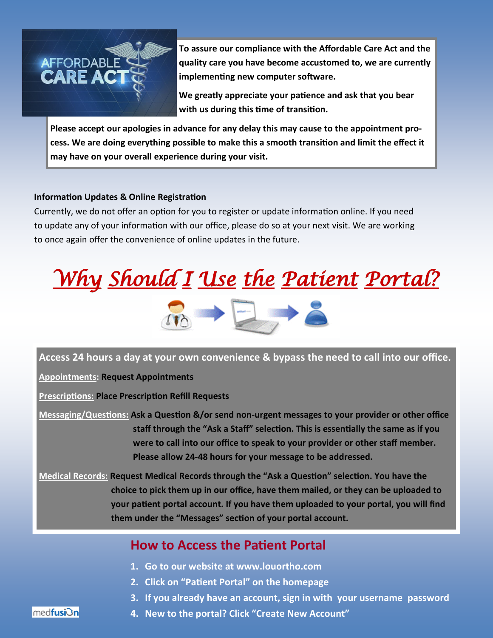

**To assure our compliance with the Affordable Care Act and the quality care you have become accustomed to, we are currently implementing new computer software.** 

**We greatly appreciate your patience and ask that you bear with us during this time of transition.** 

**Please accept our apologies in advance for any delay this may cause to the appointment process. We are doing everything possible to make this a smooth transition and limit the effect it may have on your overall experience during your visit.** 

## **Information Updates & Online Registration**

Currently, we do not offer an option for you to register or update information online. If you need to update any of your information with our office, please do so at your next visit. We are working to once again offer the convenience of online updates in the future.



**Access 24 hours a day at your own convenience & bypass the need to call into our office.**

**Appointments: Request Appointments**

**Prescriptions: Place Prescription Refill Requests**

**Messaging/Questions: Ask a Question &/or send non-urgent messages to your provider or other office staff through the "Ask a Staff" selection. This is essentially the same as if you were to call into our office to speak to your provider or other staff member. Please allow 24-48 hours for your message to be addressed.** 

**Medical Records: Request Medical Records through the "Ask a Question" selection. You have the choice to pick them up in our office, have them mailed, or they can be uploaded to your patient portal account. If you have them uploaded to your portal, you will find them under the "Messages" section of your portal account.**

## **How to Access the Patient Portal**

- **1. Go to our website at www.louortho.com**
- **2. Click on "Patient Portal" on the homepage**
- **3. If you already have an account, sign in with your username password**

med**fusiOn** 

**4. New to the portal? Click "Create New Account"**